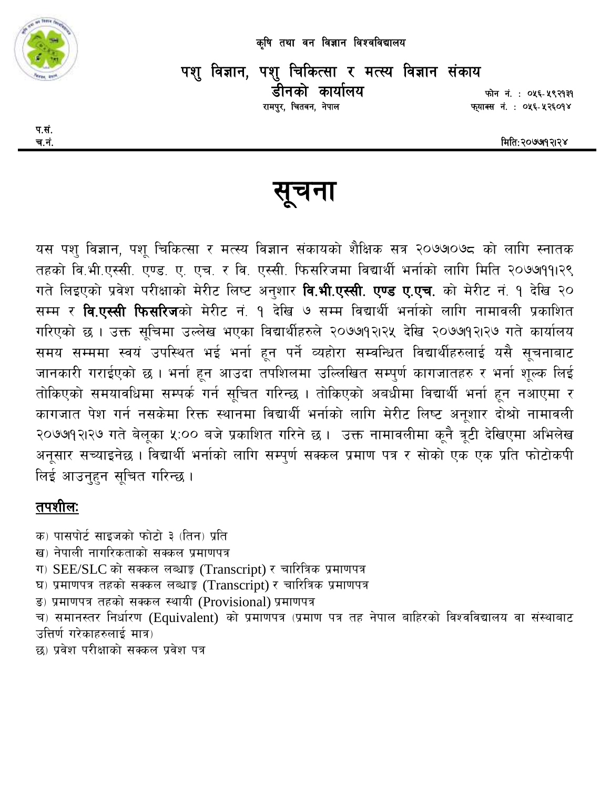

कृषि तथा वन विज्ञान विश्वविद्यालय

पशु विज्ञान, पशु चिकित्सा र मत्स्य विज्ञान संकाय डीनको कार्यालय रामपुर, चितवन, नेपाल

फोन नं.: ०५६-५९२१३१ फ़्याक्स नं. : ०५६-५२६०१४

मिति:२०७७१२।२४

सूचना

यस पशु विज्ञान, पशु चिकित्सा र मत्स्य विज्ञान संकायको शैक्षिक सत्र २०७७०७८ को लागि स्नातक तहको वि.भी.एस्सी. एण्ड. ए. एच. र वि. एस्सी. फिसरिजमा विद्यार्थी भर्नाको लागि मिति २०७७११।२९ गते लिइएको प्रवेश परीक्षाको मेरीट लिष्ट अनुशार **वि.भी.एस्सी. एण्ड ए.एच.** को मेरीट नं. १ देखि २० सम्म र **वि.एस्सी फिसरिज**को मेरीट नं. १ देखि ७ सम्म विद्यार्थी भर्नाको लागि नामावली प्रकाशित गरिएको छ । उक्त सूचिमा उल्लेख भएका विद्यार्थीहरुले २०७७१२।२५ देखि २०७७१२।२७ गते कार्यालय समय सम्ममा स्वयं उपस्थित भई भर्ना हून पर्ने व्यहोरा सम्वन्धित विद्यार्थीहरुलाई यसै सूचनाबाट जानकारी गराईएको छ । भर्ना हून आउदा तपशिलमा उल्लिखित सम्पुर्ण कागजातहरु र भर्ना शूल्क लिई तोकिएको समयावधिमा सम्पर्क गर्न सूचित गरिन्छ । तोकिएको अबधीमा विद्यार्थी भर्ना हून नआएमा र कागजात पेश गर्न नसकेमा रिक्त स्थानमा विद्यार्थी भर्नाको लागि मेरीट लिष्ट अनूशार दोश्रो नामावली २०७७१२।२७ गते बेलूका ५:०० बजे प्रकाशित गरिने छ । उक्त नामावलीमा कूनै त्रूटी देखिएमा अभिलेख अनूसार सच्याइनेछ । विद्यार्थी भर्नाको लागि सम्पूर्ण सक्कल प्रमाण पत्र र सोको एक एक प्रति फोटोकपी लिई आउनहन सचित गरिन्छ ।

## तपशीलः

क) पासपोर्ट साइजको फोटो ३ (तिन) प्रति ख) नेपाली नागरिकताको सक्कल प्रमाणपत्र ग)  $SEE/SLC$  को सक्कल लब्धाङ़ (Transcript) र चारित्रिक प्रमाणपत्र घ) प्रमाणपत्र तहको सक्कल लब्धाङ्क (Transcript) र चारित्रिक प्रमाणपत्र ड) प्रमाणपत्र तहको सक्कल स्थायी (Provisional) प्रमाणपत्र च) समानस्तर निर्धारण (Equivalent) को प्रमाणपत्र (प्रमाण पत्र तह नेपाल बाहिरको विश्वविद्यालय वा संस्थाबाट उत्तिर्ण गरेकाहरुलाई मात्र) छ) प्रवेश परीक्षाको सक्कल प्रवेश पत्र

प.सं. च.नं.